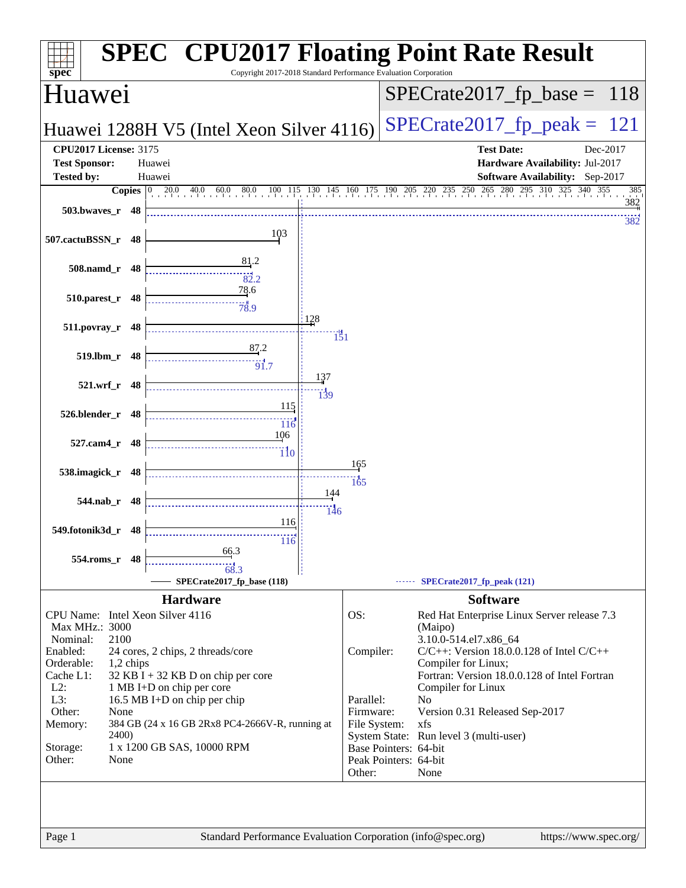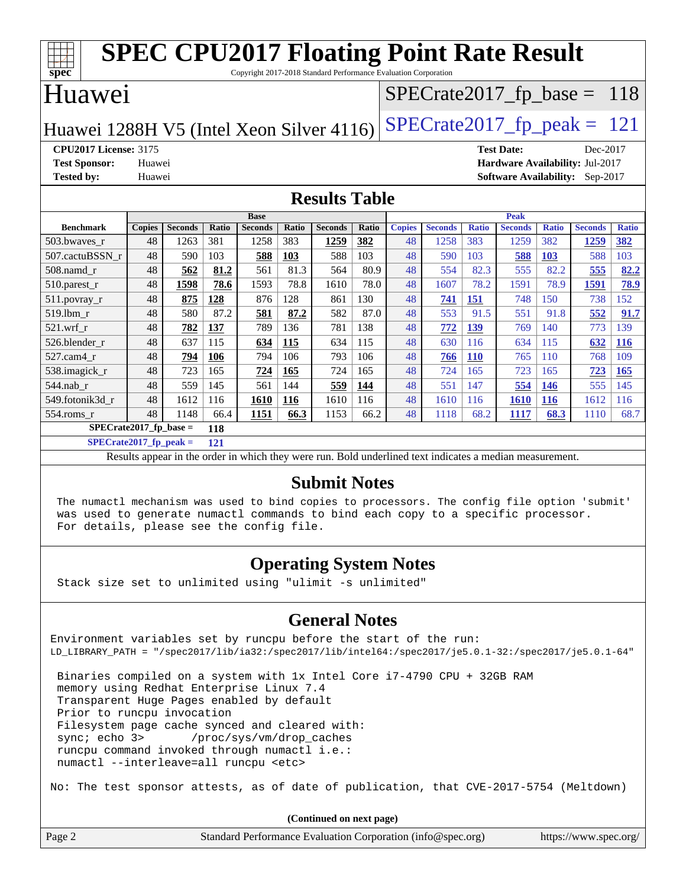| <b>SPEC CPU2017 Floating Point Rate Result</b>                                                |                            |                |       |                |              |                |       |               |                |              |                   |              |                                        |              |
|-----------------------------------------------------------------------------------------------|----------------------------|----------------|-------|----------------|--------------|----------------|-------|---------------|----------------|--------------|-------------------|--------------|----------------------------------------|--------------|
| $\overline{\text{spec}^*}$<br>Copyright 2017-2018 Standard Performance Evaluation Corporation |                            |                |       |                |              |                |       |               |                |              |                   |              |                                        |              |
| Huawei<br>$SPECrate2017_fp\_base = 118$                                                       |                            |                |       |                |              |                |       |               |                |              |                   |              |                                        |              |
|                                                                                               |                            |                |       |                |              |                |       |               |                |              |                   |              |                                        |              |
| $SPECTate2017$ _fp_peak = 121<br>Huawei 1288H V5 (Intel Xeon Silver 4116)                     |                            |                |       |                |              |                |       |               |                |              |                   |              |                                        |              |
| <b>CPU2017 License: 3175</b>                                                                  |                            |                |       |                |              |                |       |               |                |              | <b>Test Date:</b> |              | Dec-2017                               |              |
| <b>Test Sponsor:</b>                                                                          | Huawei                     |                |       |                |              |                |       |               |                |              |                   |              | <b>Hardware Availability: Jul-2017</b> |              |
| <b>Tested by:</b>                                                                             | Huawei                     |                |       |                |              |                |       |               |                |              |                   |              | <b>Software Availability:</b> Sep-2017 |              |
| <b>Results Table</b>                                                                          |                            |                |       |                |              |                |       |               |                |              |                   |              |                                        |              |
|                                                                                               | <b>Peak</b><br><b>Base</b> |                |       |                |              |                |       |               |                |              |                   |              |                                        |              |
| <b>Benchmark</b>                                                                              | <b>Copies</b>              | <b>Seconds</b> | Ratio | <b>Seconds</b> | <b>Ratio</b> | <b>Seconds</b> | Ratio | <b>Copies</b> | <b>Seconds</b> | <b>Ratio</b> | <b>Seconds</b>    | <b>Ratio</b> | <b>Seconds</b>                         | <b>Ratio</b> |
| 503.bwaves_r                                                                                  | 48                         | 1263           | 381   | 1258           | 383          | 1259           | 382   | 48            | 1258           | 383          | 1259              | 382          | 1259                                   | 382          |
| 507.cactuBSSN r                                                                               | 48                         | 590            | 103   | 588            | 103          | 588            | 103   | 48            | 590            | 103          | 588               | 103          | 588                                    | 103          |
| $508$ .namd $r$                                                                               | 48                         | 562            | 81.2  | 561            | 81.3         | 564            | 80.9  | 48            | 554            | 82.3         | 555               | 82.2         | 555                                    | 82.2         |
| 510.parest_r                                                                                  | 48                         | 1598           | 78.6  | 1593           | 78.8         | 1610           | 78.0  | 48            | 1607           | 78.2         | 1591              | 78.9         | 1591                                   | 78.9         |
| 511.povray_r                                                                                  | 48                         | 875            | 128   | 876            | 128          | 861            | 130   | 48            | 741            | 151          | 748               | 150          | 738                                    | 152          |
| 519.lbm r                                                                                     | 48                         | 580            | 87.2  | 581            | 87.2         | 582            | 87.0  | 48            | 553            | 91.5         | 551               | 91.8         | 552                                    | 91.7         |
| $521$ .wrf r                                                                                  | 48                         | 782            | 137   | 789            | 136          | 781            | 138   | 48            | 772            | 139          | 769               | 140          | 773                                    | 139          |
| 526.blender r                                                                                 | 48                         | 637            | 115   | 634            | 115          | 634            | 115   | 48            | 630            | 116          | 634               | 115          | 632                                    | 116          |
| 527.cam4_r                                                                                    | 48                         | 794            | 106   | 794            | 106          | 793            | 106   | 48            | 766            | <b>110</b>   | 765               | 110          | 768                                    | 109          |
| 538.imagick r                                                                                 | 48                         | 723            | 165   | 724            | 165          | 724            | 165   | 48            | 724            | 165          | 723               | 165          | 723                                    | 165          |
| 544.nab r                                                                                     | 48                         | 559            | 145   | 561            | 144          | 559            | 144   | 48            | 551            | 147          | 554               | <b>146</b>   | 555                                    | 145          |
| 549.fotonik3d_r                                                                               | 48                         | 1612           | 116   | 1610           | 116          | 1610           | 116   | 48            | 1610           | 116          | 1610              | <b>116</b>   | 1612                                   | 116          |
| 554.roms_r                                                                                    | 48                         | 1148           | 66.4  | 1151           | 66.3         | 1153           | 66.2  | 48            | 1118           | 68.2         | 1117              | 68.3         | 1110                                   | 68.7         |

**[SPECrate2017\\_fp\\_base =](http://www.spec.org/auto/cpu2017/Docs/result-fields.html#SPECrate2017fpbase) 118**

**[SPECrate2017\\_fp\\_peak =](http://www.spec.org/auto/cpu2017/Docs/result-fields.html#SPECrate2017fppeak) 121**

Results appear in the [order in which they were run.](http://www.spec.org/auto/cpu2017/Docs/result-fields.html#RunOrder) Bold underlined text [indicates a median measurement.](http://www.spec.org/auto/cpu2017/Docs/result-fields.html#Median)

#### **[Submit Notes](http://www.spec.org/auto/cpu2017/Docs/result-fields.html#SubmitNotes)**

 The numactl mechanism was used to bind copies to processors. The config file option 'submit' was used to generate numactl commands to bind each copy to a specific processor. For details, please see the config file.

#### **[Operating System Notes](http://www.spec.org/auto/cpu2017/Docs/result-fields.html#OperatingSystemNotes)**

Stack size set to unlimited using "ulimit -s unlimited"

#### **[General Notes](http://www.spec.org/auto/cpu2017/Docs/result-fields.html#GeneralNotes)**

Environment variables set by runcpu before the start of the run: LD\_LIBRARY\_PATH = "/spec2017/lib/ia32:/spec2017/lib/intel64:/spec2017/je5.0.1-32:/spec2017/je5.0.1-64"

 Binaries compiled on a system with 1x Intel Core i7-4790 CPU + 32GB RAM memory using Redhat Enterprise Linux 7.4 Transparent Huge Pages enabled by default Prior to runcpu invocation Filesystem page cache synced and cleared with: sync; echo 3> /proc/sys/vm/drop\_caches runcpu command invoked through numactl i.e.: numactl --interleave=all runcpu <etc>

No: The test sponsor attests, as of date of publication, that CVE-2017-5754 (Meltdown)

**(Continued on next page)**

| Page 2 | Standard Performance Evaluation Corporation (info@spec.org) | https://www.spec.org/ |
|--------|-------------------------------------------------------------|-----------------------|
|--------|-------------------------------------------------------------|-----------------------|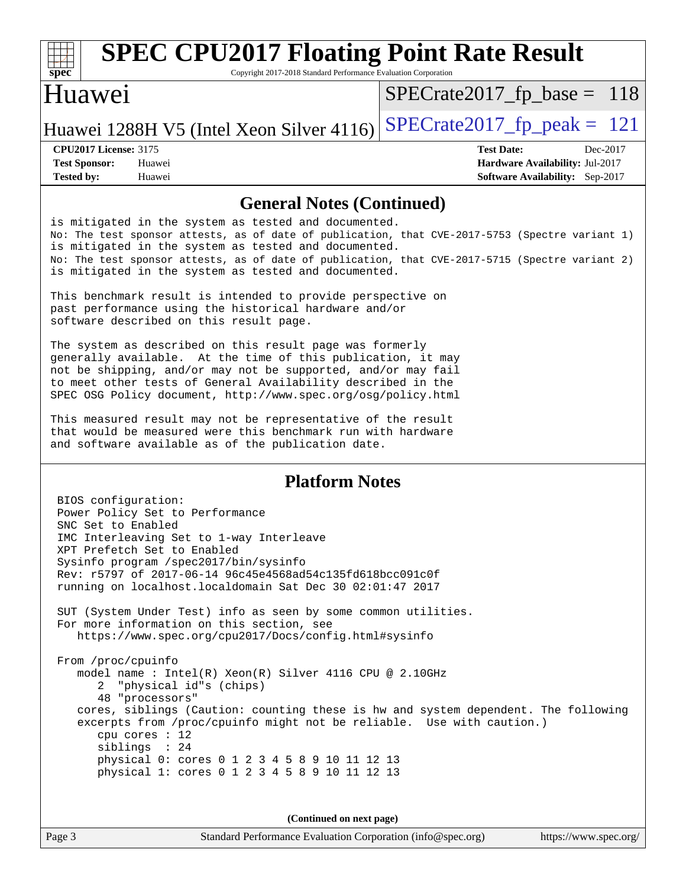

# **[SPEC CPU2017 Floating Point Rate Result](http://www.spec.org/auto/cpu2017/Docs/result-fields.html#SPECCPU2017FloatingPointRateResult)**

Copyright 2017-2018 Standard Performance Evaluation Corporation

#### Huawei

[SPECrate2017\\_fp\\_base =](http://www.spec.org/auto/cpu2017/Docs/result-fields.html#SPECrate2017fpbase) 118

Huawei 1288H V5 (Intel Xeon Silver 4116) SPECrate  $2017$  fp peak = 121

**[Tested by:](http://www.spec.org/auto/cpu2017/Docs/result-fields.html#Testedby)** Huawei **[Software Availability:](http://www.spec.org/auto/cpu2017/Docs/result-fields.html#SoftwareAvailability)** Sep-2017

**[CPU2017 License:](http://www.spec.org/auto/cpu2017/Docs/result-fields.html#CPU2017License)** 3175 **[Test Date:](http://www.spec.org/auto/cpu2017/Docs/result-fields.html#TestDate)** Dec-2017 **[Test Sponsor:](http://www.spec.org/auto/cpu2017/Docs/result-fields.html#TestSponsor)** Huawei **[Hardware Availability:](http://www.spec.org/auto/cpu2017/Docs/result-fields.html#HardwareAvailability)** Jul-2017

#### **[General Notes \(Continued\)](http://www.spec.org/auto/cpu2017/Docs/result-fields.html#GeneralNotes)**

is mitigated in the system as tested and documented. No: The test sponsor attests, as of date of publication, that CVE-2017-5753 (Spectre variant 1) is mitigated in the system as tested and documented. No: The test sponsor attests, as of date of publication, that CVE-2017-5715 (Spectre variant 2) is mitigated in the system as tested and documented.

This benchmark result is intended to provide perspective on past performance using the historical hardware and/or software described on this result page.

The system as described on this result page was formerly generally available. At the time of this publication, it may not be shipping, and/or may not be supported, and/or may fail to meet other tests of General Availability described in the SPEC OSG Policy document, <http://www.spec.org/osg/policy.html>

This measured result may not be representative of the result that would be measured were this benchmark run with hardware and software available as of the publication date.

#### **[Platform Notes](http://www.spec.org/auto/cpu2017/Docs/result-fields.html#PlatformNotes)**

 BIOS configuration: Power Policy Set to Performance SNC Set to Enabled IMC Interleaving Set to 1-way Interleave XPT Prefetch Set to Enabled Sysinfo program /spec2017/bin/sysinfo Rev: r5797 of 2017-06-14 96c45e4568ad54c135fd618bcc091c0f running on localhost.localdomain Sat Dec 30 02:01:47 2017 SUT (System Under Test) info as seen by some common utilities. For more information on this section, see <https://www.spec.org/cpu2017/Docs/config.html#sysinfo> From /proc/cpuinfo model name : Intel(R) Xeon(R) Silver 4116 CPU @ 2.10GHz 2 "physical id"s (chips) 48 "processors" cores, siblings (Caution: counting these is hw and system dependent. The following excerpts from /proc/cpuinfo might not be reliable. Use with caution.) cpu cores : 12 siblings : 24 physical 0: cores 0 1 2 3 4 5 8 9 10 11 12 13 physical 1: cores 0 1 2 3 4 5 8 9 10 11 12 13

**(Continued on next page)**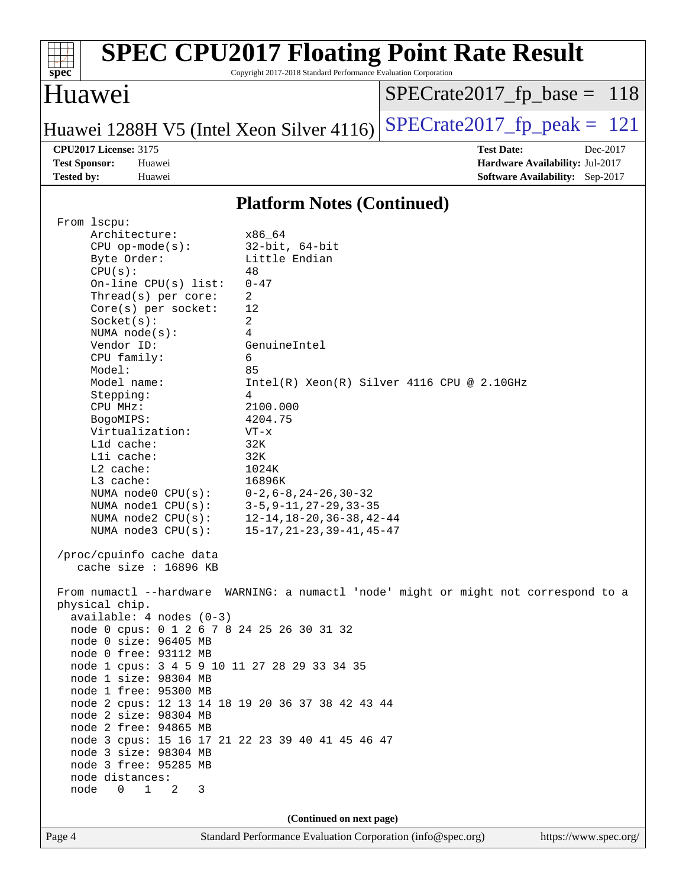| <b>SPEC CPU2017 Floating Point Rate Result</b><br>Copyright 2017-2018 Standard Performance Evaluation Corporation<br>$spec^*$                                                                                                                                                                                                                                                                                                                                                                                                                                                                                                                                                                                                                                                                                                                                                                                                                                                                                                                                                                                                                                                                                                                                                                                                                                                                                                              |                                                                                                     |
|--------------------------------------------------------------------------------------------------------------------------------------------------------------------------------------------------------------------------------------------------------------------------------------------------------------------------------------------------------------------------------------------------------------------------------------------------------------------------------------------------------------------------------------------------------------------------------------------------------------------------------------------------------------------------------------------------------------------------------------------------------------------------------------------------------------------------------------------------------------------------------------------------------------------------------------------------------------------------------------------------------------------------------------------------------------------------------------------------------------------------------------------------------------------------------------------------------------------------------------------------------------------------------------------------------------------------------------------------------------------------------------------------------------------------------------------|-----------------------------------------------------------------------------------------------------|
| Huawei                                                                                                                                                                                                                                                                                                                                                                                                                                                                                                                                                                                                                                                                                                                                                                                                                                                                                                                                                                                                                                                                                                                                                                                                                                                                                                                                                                                                                                     | $SPECrate2017_fp\_base = 118$                                                                       |
| Huawei 1288H V5 (Intel Xeon Silver 4116)                                                                                                                                                                                                                                                                                                                                                                                                                                                                                                                                                                                                                                                                                                                                                                                                                                                                                                                                                                                                                                                                                                                                                                                                                                                                                                                                                                                                   | $SPECTate2017$ _fp_peak = 121                                                                       |
| <b>CPU2017 License: 3175</b><br><b>Test Sponsor:</b><br>Huawei<br><b>Tested by:</b><br>Huawei                                                                                                                                                                                                                                                                                                                                                                                                                                                                                                                                                                                                                                                                                                                                                                                                                                                                                                                                                                                                                                                                                                                                                                                                                                                                                                                                              | <b>Test Date:</b><br>Dec-2017<br>Hardware Availability: Jul-2017<br>Software Availability: Sep-2017 |
| <b>Platform Notes (Continued)</b>                                                                                                                                                                                                                                                                                                                                                                                                                                                                                                                                                                                                                                                                                                                                                                                                                                                                                                                                                                                                                                                                                                                                                                                                                                                                                                                                                                                                          |                                                                                                     |
| From 1scpu:<br>Architecture:<br>x86_64<br>$32$ -bit, $64$ -bit<br>$CPU$ op-mode( $s$ ):<br>Byte Order:<br>Little Endian<br>CPU(s):<br>48<br>On-line $CPU(s)$ list:<br>$0 - 47$<br>2<br>Thread( $s$ ) per core:<br>12<br>$Core(s)$ per socket:<br>2<br>Socket(s):<br>4<br>NUMA $node(s)$ :<br>Vendor ID:<br>GenuineIntel<br>6<br>CPU family:<br>Model:<br>85<br>Model name:<br>Stepping:<br>4<br>2100.000<br>CPU MHz:<br>4204.75<br>BogoMIPS:<br>Virtualization:<br>$VT - x$<br>L1d cache:<br>32K<br>Lli cache:<br>32K<br>L2 cache:<br>1024K<br>L3 cache:<br>16896K<br>$0-2, 6-8, 24-26, 30-32$<br>NUMA $node0$ $CPU(s):$<br>$3 - 5, 9 - 11, 27 - 29, 33 - 35$<br>NUMA nodel $CPU(s):$<br>NUMA $node2$ $CPU(s)$ :<br>$12 - 14$ , $18 - 20$ , $36 - 38$ , $42 - 44$<br>$15 - 17, 21 - 23, 39 - 41, 45 - 47$<br>NUMA node3 CPU(s):<br>/proc/cpuinfo cache data<br>cache size : 16896 KB<br>From numactl --hardware WARNING: a numactl 'node' might or might not correspond to a<br>physical chip.<br>$available: 4 nodes (0-3)$<br>node 0 cpus: 0 1 2 6 7 8 24 25 26 30 31 32<br>node 0 size: 96405 MB<br>node 0 free: 93112 MB<br>node 1 cpus: 3 4 5 9 10 11 27 28 29 33 34 35<br>node 1 size: 98304 MB<br>node 1 free: 95300 MB<br>node 2 cpus: 12 13 14 18 19 20 36 37 38 42 43 44<br>node 2 size: 98304 MB<br>node 2 free: 94865 MB<br>node 3 cpus: 15 16 17 21 22 23 39 40 41 45 46 47<br>node 3 size: 98304 MB<br>node 3 free: 95285 MB | $Intel(R) Xeon(R) Silver 4116 CPU @ 2.10GHz$                                                        |
| node distances:<br>node<br>$\Omega$<br>$1 \quad 2$<br>3                                                                                                                                                                                                                                                                                                                                                                                                                                                                                                                                                                                                                                                                                                                                                                                                                                                                                                                                                                                                                                                                                                                                                                                                                                                                                                                                                                                    |                                                                                                     |
| (Continued on next page)                                                                                                                                                                                                                                                                                                                                                                                                                                                                                                                                                                                                                                                                                                                                                                                                                                                                                                                                                                                                                                                                                                                                                                                                                                                                                                                                                                                                                   |                                                                                                     |
| Page 4<br>Standard Performance Evaluation Corporation (info@spec.org)                                                                                                                                                                                                                                                                                                                                                                                                                                                                                                                                                                                                                                                                                                                                                                                                                                                                                                                                                                                                                                                                                                                                                                                                                                                                                                                                                                      | https://www.spec.org/                                                                               |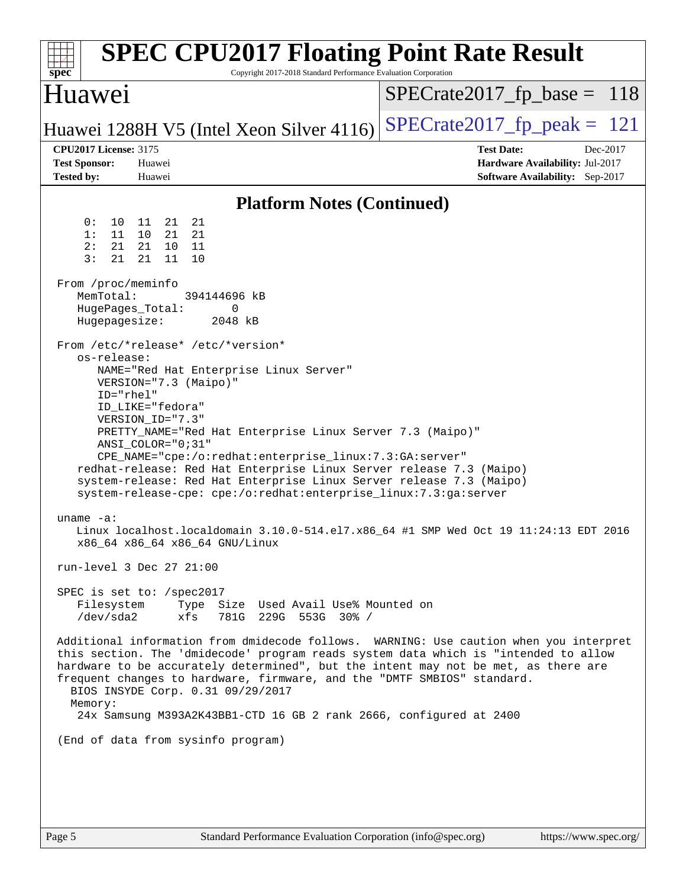| $spec^*$                                                                                                                                                                                                                                                                                     |                                                                                                                                                                                                         |                                               | Copyright 2017-2018 Standard Performance Evaluation Corporation                                                                                                                                                                                                                                                                                                                                                                          | <b>SPEC CPU2017 Floating Point Rate Result</b>                                                                                                                                                                                                                                                                                                                                                                                                                                                                                                                                        |
|----------------------------------------------------------------------------------------------------------------------------------------------------------------------------------------------------------------------------------------------------------------------------------------------|---------------------------------------------------------------------------------------------------------------------------------------------------------------------------------------------------------|-----------------------------------------------|------------------------------------------------------------------------------------------------------------------------------------------------------------------------------------------------------------------------------------------------------------------------------------------------------------------------------------------------------------------------------------------------------------------------------------------|---------------------------------------------------------------------------------------------------------------------------------------------------------------------------------------------------------------------------------------------------------------------------------------------------------------------------------------------------------------------------------------------------------------------------------------------------------------------------------------------------------------------------------------------------------------------------------------|
| Huawei                                                                                                                                                                                                                                                                                       |                                                                                                                                                                                                         |                                               |                                                                                                                                                                                                                                                                                                                                                                                                                                          | $SPECrate2017_fp\_base = 118$                                                                                                                                                                                                                                                                                                                                                                                                                                                                                                                                                         |
|                                                                                                                                                                                                                                                                                              |                                                                                                                                                                                                         |                                               | Huawei 1288H V5 (Intel Xeon Silver 4116)                                                                                                                                                                                                                                                                                                                                                                                                 | $SPECTate2017$ _fp_peak = 121                                                                                                                                                                                                                                                                                                                                                                                                                                                                                                                                                         |
| <b>CPU2017 License: 3175</b><br><b>Test Sponsor:</b><br><b>Tested by:</b>                                                                                                                                                                                                                    | Huawei<br>Huawei                                                                                                                                                                                        |                                               |                                                                                                                                                                                                                                                                                                                                                                                                                                          | <b>Test Date:</b><br>Dec-2017<br>Hardware Availability: Jul-2017<br>Software Availability: Sep-2017                                                                                                                                                                                                                                                                                                                                                                                                                                                                                   |
|                                                                                                                                                                                                                                                                                              |                                                                                                                                                                                                         |                                               | <b>Platform Notes (Continued)</b>                                                                                                                                                                                                                                                                                                                                                                                                        |                                                                                                                                                                                                                                                                                                                                                                                                                                                                                                                                                                                       |
| 0:<br>10<br>1:<br>11<br>2:<br>21<br>3:<br>21<br>From /proc/meminfo<br>MemTotal:<br>Hugepagesize:<br>From /etc/*release* /etc/*version*<br>os-release:<br>uname $-a$ :<br>run-level 3 Dec 27 21:00<br>SPEC is set to: /spec2017<br>/dev/sda2<br>Memory:<br>(End of data from sysinfo program) | 21<br>11<br>10<br>21<br>21<br>10<br>21<br>11<br>HugePages_Total:<br>VERSION="7.3 (Maipo)"<br>$ID="rhe1"$<br>ID_LIKE="fedora"<br>VERSION_ID="7.3"<br>ANSI_COLOR="0;31"<br>x86_64 x86_64 x86_64 GNU/Linux | 21<br>21<br>- 11<br>10<br>394144696 kB<br>xfs | 0<br>2048 kB<br>NAME="Red Hat Enterprise Linux Server"<br>PRETTY_NAME="Red Hat Enterprise Linux Server 7.3 (Maipo)"<br>CPE_NAME="cpe:/o:redhat:enterprise_linux:7.3:GA:server"<br>system-release-cpe: cpe:/o:redhat:enterprise_linux:7.3:ga:server<br>Filesystem Type Size Used Avail Use% Mounted on<br>781G 229G 553G 30% /<br>BIOS INSYDE Corp. 0.31 09/29/2017<br>24x Samsung M393A2K43BB1-CTD 16 GB 2 rank 2666, configured at 2400 | redhat-release: Red Hat Enterprise Linux Server release 7.3 (Maipo)<br>system-release: Red Hat Enterprise Linux Server release 7.3 (Maipo)<br>Linux localhost.localdomain 3.10.0-514.el7.x86_64 #1 SMP Wed Oct 19 11:24:13 EDT 2016<br>Additional information from dmidecode follows. WARNING: Use caution when you interpret<br>this section. The 'dmidecode' program reads system data which is "intended to allow<br>hardware to be accurately determined", but the intent may not be met, as there are<br>frequent changes to hardware, firmware, and the "DMTF SMBIOS" standard. |
|                                                                                                                                                                                                                                                                                              |                                                                                                                                                                                                         |                                               |                                                                                                                                                                                                                                                                                                                                                                                                                                          |                                                                                                                                                                                                                                                                                                                                                                                                                                                                                                                                                                                       |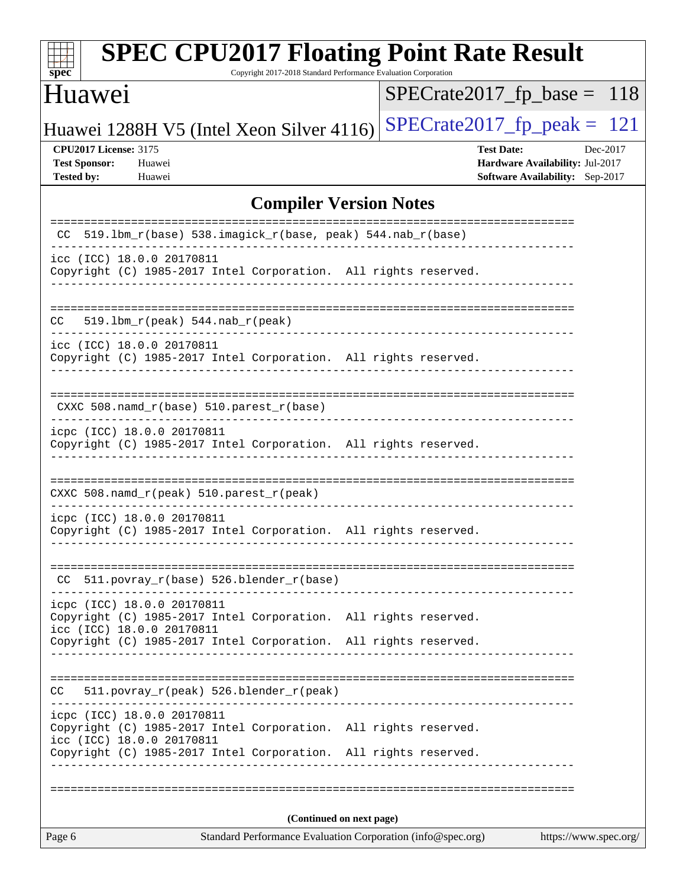| <b>SPEC CPU2017 Floating Point Rate Result</b><br>Copyright 2017-2018 Standard Performance Evaluation Corporation<br>$\overline{\text{spec}}$                                                 |                                                                                                     |
|-----------------------------------------------------------------------------------------------------------------------------------------------------------------------------------------------|-----------------------------------------------------------------------------------------------------|
| Huawei                                                                                                                                                                                        | $SPECrate2017_fp\_base = 118$                                                                       |
| Huawei 1288H V5 (Intel Xeon Silver 4116)                                                                                                                                                      | $SPECrate2017_fp\_peak = 121$                                                                       |
| <b>CPU2017 License: 3175</b><br><b>Test Sponsor:</b><br>Huawei<br><b>Tested by:</b><br>Huawei                                                                                                 | <b>Test Date:</b><br>Dec-2017<br>Hardware Availability: Jul-2017<br>Software Availability: Sep-2017 |
| <b>Compiler Version Notes</b>                                                                                                                                                                 |                                                                                                     |
| 519.1bm_r(base) 538.imagick_r(base, peak) 544.nab_r(base)<br>CC.                                                                                                                              |                                                                                                     |
| icc (ICC) 18.0.0 20170811<br>Copyright (C) 1985-2017 Intel Corporation. All rights reserved.                                                                                                  |                                                                                                     |
| $519.1bm_r(peak) 544.nab_r(peak)$<br>CC                                                                                                                                                       |                                                                                                     |
| icc (ICC) 18.0.0 20170811<br>Copyright (C) 1985-2017 Intel Corporation. All rights reserved.                                                                                                  |                                                                                                     |
| $CXXC 508.namd_r(base) 510.parest_r(base)$                                                                                                                                                    |                                                                                                     |
| icpc (ICC) 18.0.0 20170811<br>Copyright (C) 1985-2017 Intel Corporation. All rights reserved.                                                                                                 |                                                                                                     |
| CXXC 508.namd_r(peak) 510.parest_r(peak)                                                                                                                                                      |                                                                                                     |
| icpc (ICC) 18.0.0 20170811<br>Copyright (C) 1985-2017 Intel Corporation. All rights reserved.                                                                                                 |                                                                                                     |
| 511.povray_r(base) 526.blender_r(base)<br>CC                                                                                                                                                  |                                                                                                     |
| icpc (ICC) 18.0.0 20170811<br>Copyright (C) 1985-2017 Intel Corporation. All rights reserved.<br>icc (ICC) 18.0.0 20170811<br>Copyright (C) 1985-2017 Intel Corporation. All rights reserved. |                                                                                                     |
| 511.povray_r(peak) 526.blender_r(peak)<br>CC.                                                                                                                                                 |                                                                                                     |
| icpc (ICC) 18.0.0 20170811<br>Copyright (C) 1985-2017 Intel Corporation. All rights reserved.<br>icc (ICC) 18.0.0 20170811<br>Copyright (C) 1985-2017 Intel Corporation. All rights reserved. |                                                                                                     |
|                                                                                                                                                                                               |                                                                                                     |
| (Continued on next page)                                                                                                                                                                      |                                                                                                     |
| Standard Performance Evaluation Corporation (info@spec.org)<br>Page 6                                                                                                                         | https://www.spec.org/                                                                               |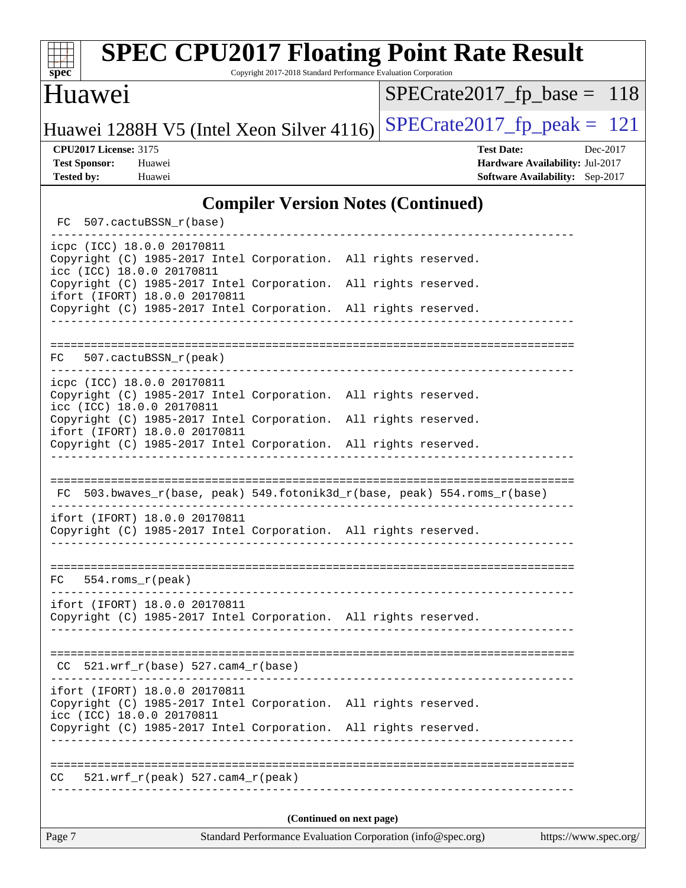| $spec^*$                                                                  | <b>SPEC CPU2017 Floating Point Rate Result</b>                                                                                                                                                   | Copyright 2017-2018 Standard Performance Evaluation Corporation |  |                                                                                         |          |
|---------------------------------------------------------------------------|--------------------------------------------------------------------------------------------------------------------------------------------------------------------------------------------------|-----------------------------------------------------------------|--|-----------------------------------------------------------------------------------------|----------|
| Huawei                                                                    |                                                                                                                                                                                                  |                                                                 |  | $SPECrate2017_fp\_base = 118$                                                           |          |
|                                                                           | Huawei 1288H V5 (Intel Xeon Silver 4116)                                                                                                                                                         |                                                                 |  | $SPECTate2017$ _fp_peak = 121                                                           |          |
| <b>CPU2017 License: 3175</b><br><b>Test Sponsor:</b><br><b>Tested by:</b> | Huawei<br>Huawei                                                                                                                                                                                 |                                                                 |  | <b>Test Date:</b><br>Hardware Availability: Jul-2017<br>Software Availability: Sep-2017 | Dec-2017 |
|                                                                           |                                                                                                                                                                                                  | <b>Compiler Version Notes (Continued)</b>                       |  |                                                                                         |          |
|                                                                           | FC 507.cactuBSSN_r(base)                                                                                                                                                                         |                                                                 |  |                                                                                         |          |
|                                                                           | icpc (ICC) 18.0.0 20170811<br>Copyright (C) 1985-2017 Intel Corporation. All rights reserved.<br>icc (ICC) 18.0.0 20170811                                                                       |                                                                 |  |                                                                                         |          |
|                                                                           | Copyright (C) 1985-2017 Intel Corporation. All rights reserved.<br>ifort (IFORT) 18.0.0 20170811<br>Copyright (C) 1985-2017 Intel Corporation. All rights reserved.                              |                                                                 |  |                                                                                         |          |
|                                                                           | FC 507.cactuBSSN_r(peak)                                                                                                                                                                         |                                                                 |  |                                                                                         |          |
|                                                                           | icpc (ICC) 18.0.0 20170811<br>Copyright (C) 1985-2017 Intel Corporation. All rights reserved.<br>icc (ICC) 18.0.0 20170811                                                                       |                                                                 |  |                                                                                         |          |
|                                                                           | Copyright (C) 1985-2017 Intel Corporation. All rights reserved.<br>ifort (IFORT) 18.0.0 20170811<br>Copyright (C) 1985-2017 Intel Corporation. All rights reserved.                              |                                                                 |  |                                                                                         |          |
|                                                                           | FC 503.bwaves_r(base, peak) 549.fotonik3d_r(base, peak) 554.roms_r(base)                                                                                                                         |                                                                 |  |                                                                                         |          |
|                                                                           | ifort (IFORT) 18.0.0 20170811<br>Copyright (C) 1985-2017 Intel Corporation. All rights reserved.                                                                                                 |                                                                 |  |                                                                                         |          |
| FC.                                                                       | 554.roms_r(peak)                                                                                                                                                                                 |                                                                 |  |                                                                                         |          |
|                                                                           | ifort (IFORT) 18.0.0 20170811<br>Copyright (C) 1985-2017 Intel Corporation. All rights reserved.                                                                                                 |                                                                 |  |                                                                                         |          |
| CC.                                                                       | $521.wrf_r(base) 527.cam4_r(base)$                                                                                                                                                               |                                                                 |  |                                                                                         |          |
|                                                                           | ifort (IFORT) 18.0.0 20170811<br>Copyright (C) 1985-2017 Intel Corporation. All rights reserved.<br>icc (ICC) 18.0.0 20170811<br>Copyright (C) 1985-2017 Intel Corporation. All rights reserved. |                                                                 |  |                                                                                         |          |
| CC.                                                                       | $521.wrf_r(peak) 527.cam4_r(peak)$                                                                                                                                                               | .                                                               |  |                                                                                         |          |
|                                                                           |                                                                                                                                                                                                  | (Continued on next page)                                        |  |                                                                                         |          |
| Page 7                                                                    |                                                                                                                                                                                                  | Standard Performance Evaluation Corporation (info@spec.org)     |  | https://www.spec.org/                                                                   |          |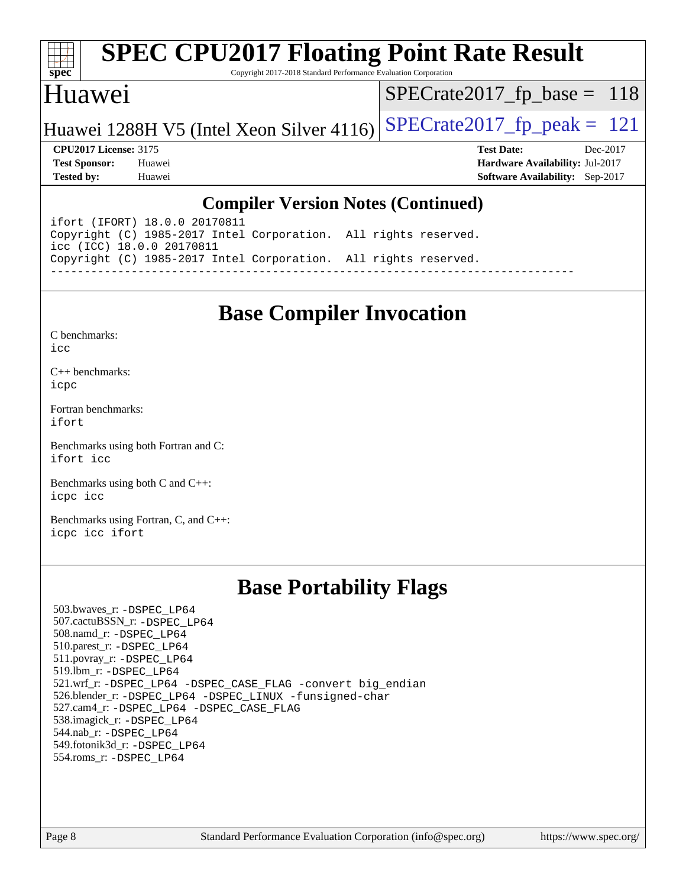

# **[SPEC CPU2017 Floating Point Rate Result](http://www.spec.org/auto/cpu2017/Docs/result-fields.html#SPECCPU2017FloatingPointRateResult)**

Copyright 2017-2018 Standard Performance Evaluation Corporation

#### Huawei

[SPECrate2017\\_fp\\_base =](http://www.spec.org/auto/cpu2017/Docs/result-fields.html#SPECrate2017fpbase) 118

Huawei 1288H V5 (Intel Xeon Silver 4116) SPECrate  $2017$  fp peak = 121

**[CPU2017 License:](http://www.spec.org/auto/cpu2017/Docs/result-fields.html#CPU2017License)** 3175 **[Test Date:](http://www.spec.org/auto/cpu2017/Docs/result-fields.html#TestDate)** Dec-2017 **[Test Sponsor:](http://www.spec.org/auto/cpu2017/Docs/result-fields.html#TestSponsor)** Huawei **[Hardware Availability:](http://www.spec.org/auto/cpu2017/Docs/result-fields.html#HardwareAvailability)** Jul-2017 **[Tested by:](http://www.spec.org/auto/cpu2017/Docs/result-fields.html#Testedby)** Huawei **[Software Availability:](http://www.spec.org/auto/cpu2017/Docs/result-fields.html#SoftwareAvailability)** Sep-2017

#### **[Compiler Version Notes \(Continued\)](http://www.spec.org/auto/cpu2017/Docs/result-fields.html#CompilerVersionNotes)**

ifort (IFORT) 18.0.0 20170811 Copyright (C) 1985-2017 Intel Corporation. All rights reserved. icc (ICC) 18.0.0 20170811 Copyright (C) 1985-2017 Intel Corporation. All rights reserved. ------------------------------------------------------------------------------

## **[Base Compiler Invocation](http://www.spec.org/auto/cpu2017/Docs/result-fields.html#BaseCompilerInvocation)**

[C benchmarks](http://www.spec.org/auto/cpu2017/Docs/result-fields.html#Cbenchmarks):  $i$ cc

[C++ benchmarks:](http://www.spec.org/auto/cpu2017/Docs/result-fields.html#CXXbenchmarks) [icpc](http://www.spec.org/cpu2017/results/res2018q1/cpu2017-20180105-02474.flags.html#user_CXXbase_intel_icpc_18.0_c510b6838c7f56d33e37e94d029a35b4a7bccf4766a728ee175e80a419847e808290a9b78be685c44ab727ea267ec2f070ec5dc83b407c0218cded6866a35d07)

[Fortran benchmarks](http://www.spec.org/auto/cpu2017/Docs/result-fields.html#Fortranbenchmarks): [ifort](http://www.spec.org/cpu2017/results/res2018q1/cpu2017-20180105-02474.flags.html#user_FCbase_intel_ifort_18.0_8111460550e3ca792625aed983ce982f94888b8b503583aa7ba2b8303487b4d8a21a13e7191a45c5fd58ff318f48f9492884d4413fa793fd88dd292cad7027ca)

[Benchmarks using both Fortran and C](http://www.spec.org/auto/cpu2017/Docs/result-fields.html#BenchmarksusingbothFortranandC): [ifort](http://www.spec.org/cpu2017/results/res2018q1/cpu2017-20180105-02474.flags.html#user_CC_FCbase_intel_ifort_18.0_8111460550e3ca792625aed983ce982f94888b8b503583aa7ba2b8303487b4d8a21a13e7191a45c5fd58ff318f48f9492884d4413fa793fd88dd292cad7027ca) [icc](http://www.spec.org/cpu2017/results/res2018q1/cpu2017-20180105-02474.flags.html#user_CC_FCbase_intel_icc_18.0_66fc1ee009f7361af1fbd72ca7dcefbb700085f36577c54f309893dd4ec40d12360134090235512931783d35fd58c0460139e722d5067c5574d8eaf2b3e37e92)

[Benchmarks using both C and C++](http://www.spec.org/auto/cpu2017/Docs/result-fields.html#BenchmarksusingbothCandCXX): [icpc](http://www.spec.org/cpu2017/results/res2018q1/cpu2017-20180105-02474.flags.html#user_CC_CXXbase_intel_icpc_18.0_c510b6838c7f56d33e37e94d029a35b4a7bccf4766a728ee175e80a419847e808290a9b78be685c44ab727ea267ec2f070ec5dc83b407c0218cded6866a35d07) [icc](http://www.spec.org/cpu2017/results/res2018q1/cpu2017-20180105-02474.flags.html#user_CC_CXXbase_intel_icc_18.0_66fc1ee009f7361af1fbd72ca7dcefbb700085f36577c54f309893dd4ec40d12360134090235512931783d35fd58c0460139e722d5067c5574d8eaf2b3e37e92)

[Benchmarks using Fortran, C, and C++:](http://www.spec.org/auto/cpu2017/Docs/result-fields.html#BenchmarksusingFortranCandCXX) [icpc](http://www.spec.org/cpu2017/results/res2018q1/cpu2017-20180105-02474.flags.html#user_CC_CXX_FCbase_intel_icpc_18.0_c510b6838c7f56d33e37e94d029a35b4a7bccf4766a728ee175e80a419847e808290a9b78be685c44ab727ea267ec2f070ec5dc83b407c0218cded6866a35d07) [icc](http://www.spec.org/cpu2017/results/res2018q1/cpu2017-20180105-02474.flags.html#user_CC_CXX_FCbase_intel_icc_18.0_66fc1ee009f7361af1fbd72ca7dcefbb700085f36577c54f309893dd4ec40d12360134090235512931783d35fd58c0460139e722d5067c5574d8eaf2b3e37e92) [ifort](http://www.spec.org/cpu2017/results/res2018q1/cpu2017-20180105-02474.flags.html#user_CC_CXX_FCbase_intel_ifort_18.0_8111460550e3ca792625aed983ce982f94888b8b503583aa7ba2b8303487b4d8a21a13e7191a45c5fd58ff318f48f9492884d4413fa793fd88dd292cad7027ca)

## **[Base Portability Flags](http://www.spec.org/auto/cpu2017/Docs/result-fields.html#BasePortabilityFlags)**

 503.bwaves\_r: [-DSPEC\\_LP64](http://www.spec.org/cpu2017/results/res2018q1/cpu2017-20180105-02474.flags.html#suite_basePORTABILITY503_bwaves_r_DSPEC_LP64) 507.cactuBSSN\_r: [-DSPEC\\_LP64](http://www.spec.org/cpu2017/results/res2018q1/cpu2017-20180105-02474.flags.html#suite_basePORTABILITY507_cactuBSSN_r_DSPEC_LP64) 508.namd\_r: [-DSPEC\\_LP64](http://www.spec.org/cpu2017/results/res2018q1/cpu2017-20180105-02474.flags.html#suite_basePORTABILITY508_namd_r_DSPEC_LP64) 510.parest\_r: [-DSPEC\\_LP64](http://www.spec.org/cpu2017/results/res2018q1/cpu2017-20180105-02474.flags.html#suite_basePORTABILITY510_parest_r_DSPEC_LP64) 511.povray\_r: [-DSPEC\\_LP64](http://www.spec.org/cpu2017/results/res2018q1/cpu2017-20180105-02474.flags.html#suite_basePORTABILITY511_povray_r_DSPEC_LP64) 519.lbm\_r: [-DSPEC\\_LP64](http://www.spec.org/cpu2017/results/res2018q1/cpu2017-20180105-02474.flags.html#suite_basePORTABILITY519_lbm_r_DSPEC_LP64) 521.wrf\_r: [-DSPEC\\_LP64](http://www.spec.org/cpu2017/results/res2018q1/cpu2017-20180105-02474.flags.html#suite_basePORTABILITY521_wrf_r_DSPEC_LP64) [-DSPEC\\_CASE\\_FLAG](http://www.spec.org/cpu2017/results/res2018q1/cpu2017-20180105-02474.flags.html#b521.wrf_r_baseCPORTABILITY_DSPEC_CASE_FLAG) [-convert big\\_endian](http://www.spec.org/cpu2017/results/res2018q1/cpu2017-20180105-02474.flags.html#user_baseFPORTABILITY521_wrf_r_convert_big_endian_c3194028bc08c63ac5d04de18c48ce6d347e4e562e8892b8bdbdc0214820426deb8554edfa529a3fb25a586e65a3d812c835984020483e7e73212c4d31a38223) 526.blender\_r: [-DSPEC\\_LP64](http://www.spec.org/cpu2017/results/res2018q1/cpu2017-20180105-02474.flags.html#suite_basePORTABILITY526_blender_r_DSPEC_LP64) [-DSPEC\\_LINUX](http://www.spec.org/cpu2017/results/res2018q1/cpu2017-20180105-02474.flags.html#b526.blender_r_baseCPORTABILITY_DSPEC_LINUX) [-funsigned-char](http://www.spec.org/cpu2017/results/res2018q1/cpu2017-20180105-02474.flags.html#user_baseCPORTABILITY526_blender_r_force_uchar_40c60f00ab013830e2dd6774aeded3ff59883ba5a1fc5fc14077f794d777847726e2a5858cbc7672e36e1b067e7e5c1d9a74f7176df07886a243d7cc18edfe67) 527.cam4\_r: [-DSPEC\\_LP64](http://www.spec.org/cpu2017/results/res2018q1/cpu2017-20180105-02474.flags.html#suite_basePORTABILITY527_cam4_r_DSPEC_LP64) [-DSPEC\\_CASE\\_FLAG](http://www.spec.org/cpu2017/results/res2018q1/cpu2017-20180105-02474.flags.html#b527.cam4_r_baseCPORTABILITY_DSPEC_CASE_FLAG) 538.imagick\_r: [-DSPEC\\_LP64](http://www.spec.org/cpu2017/results/res2018q1/cpu2017-20180105-02474.flags.html#suite_basePORTABILITY538_imagick_r_DSPEC_LP64) 544.nab\_r: [-DSPEC\\_LP64](http://www.spec.org/cpu2017/results/res2018q1/cpu2017-20180105-02474.flags.html#suite_basePORTABILITY544_nab_r_DSPEC_LP64) 549.fotonik3d\_r: [-DSPEC\\_LP64](http://www.spec.org/cpu2017/results/res2018q1/cpu2017-20180105-02474.flags.html#suite_basePORTABILITY549_fotonik3d_r_DSPEC_LP64) 554.roms\_r: [-DSPEC\\_LP64](http://www.spec.org/cpu2017/results/res2018q1/cpu2017-20180105-02474.flags.html#suite_basePORTABILITY554_roms_r_DSPEC_LP64)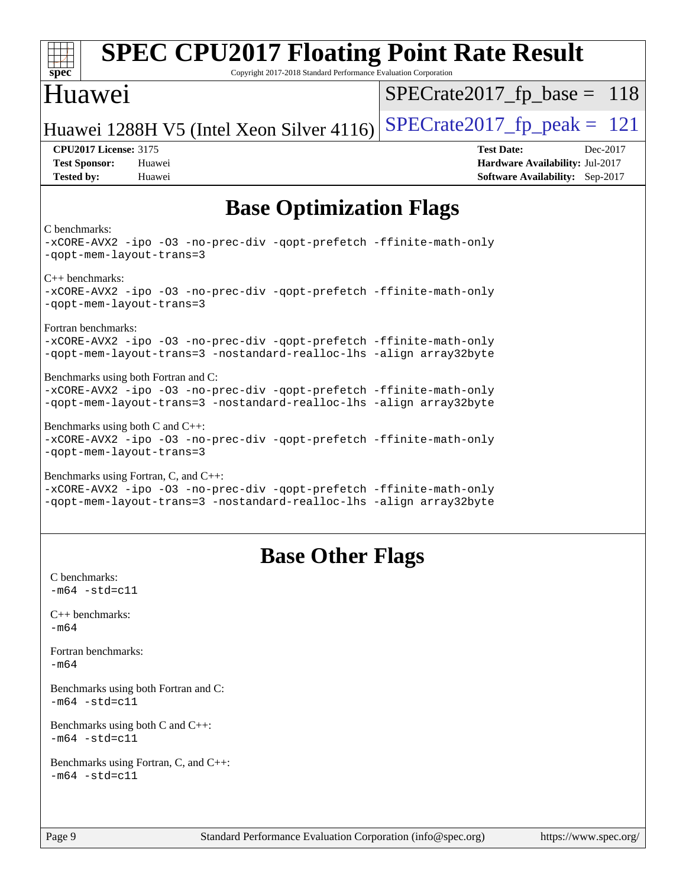| <b>SPEC CPU2017 Floating Point Rate Result</b><br>$spec*$<br>Copyright 2017-2018 Standard Performance Evaluation Corporation                                                        |                               |                                                                           |          |
|-------------------------------------------------------------------------------------------------------------------------------------------------------------------------------------|-------------------------------|---------------------------------------------------------------------------|----------|
| Huawei                                                                                                                                                                              | $SPECrate2017_fp\_base = 118$ |                                                                           |          |
| Huawei 1288H V5 (Intel Xeon Silver 4116)                                                                                                                                            | $SPECTate2017_fp\_peak = 121$ |                                                                           |          |
| <b>CPU2017 License: 3175</b><br><b>Test Sponsor:</b><br>Huawei<br><b>Tested by:</b><br>Huawei                                                                                       | <b>Test Date:</b>             | Hardware Availability: Jul-2017<br><b>Software Availability:</b> Sep-2017 | Dec-2017 |
| <b>Base Optimization Flags</b>                                                                                                                                                      |                               |                                                                           |          |
| C benchmarks:<br>-xCORE-AVX2 -ipo -03 -no-prec-div -qopt-prefetch -ffinite-math-only<br>-qopt-mem-layout-trans=3                                                                    |                               |                                                                           |          |
| $C++$ benchmarks:<br>-xCORE-AVX2 -ipo -03 -no-prec-div -qopt-prefetch -ffinite-math-only<br>-gopt-mem-layout-trans=3                                                                |                               |                                                                           |          |
| Fortran benchmarks:<br>-xCORE-AVX2 -ipo -03 -no-prec-div -qopt-prefetch -ffinite-math-only<br>-qopt-mem-layout-trans=3 -nostandard-realloc-lhs -align array32byte                   |                               |                                                                           |          |
| Benchmarks using both Fortran and C:<br>-xCORE-AVX2 -ipo -03 -no-prec-div -qopt-prefetch -ffinite-math-only<br>-qopt-mem-layout-trans=3 -nostandard-realloc-lhs -align array32byte  |                               |                                                                           |          |
| Benchmarks using both $C$ and $C_{++}$ :<br>-xCORE-AVX2 -ipo -03 -no-prec-div -qopt-prefetch -ffinite-math-only<br>-qopt-mem-layout-trans=3                                         |                               |                                                                           |          |
| Benchmarks using Fortran, C, and C++:<br>-xCORE-AVX2 -ipo -03 -no-prec-div -qopt-prefetch -ffinite-math-only<br>-qopt-mem-layout-trans=3 -nostandard-realloc-lhs -align array32byte |                               |                                                                           |          |
| <b>Base Other Flags</b>                                                                                                                                                             |                               |                                                                           |          |
| C benchmarks:<br>$-m64 - std= c11$                                                                                                                                                  |                               |                                                                           |          |
| $C++$ benchmarks:<br>$-m64$                                                                                                                                                         |                               |                                                                           |          |
| Fortran benchmarks:<br>$-m64$                                                                                                                                                       |                               |                                                                           |          |
| Benchmarks using both Fortran and C:<br>$-m64 - std= c11$                                                                                                                           |                               |                                                                           |          |
| Benchmarks using both C and C++:<br>$-m64 - std= c11$                                                                                                                               |                               |                                                                           |          |
| Benchmarks using Fortran, C, and C++:<br>$-m64 - std= c11$                                                                                                                          |                               |                                                                           |          |
| Page 9<br>Standard Performance Evaluation Corporation (info@spec.org)                                                                                                               |                               | https://www.spec.org/                                                     |          |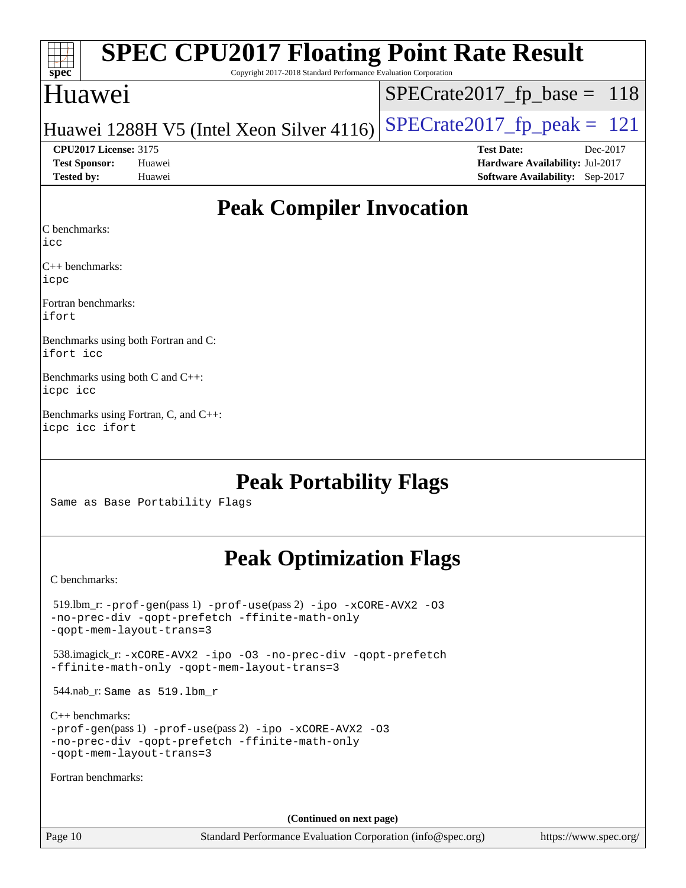| Spec                         | <b>SPEC CPU2017 Floating Point Rate Result</b><br>Copyright 2017-2018 Standard Performance Evaluation Corporation |                                        |  |  |  |  |  |  |  |
|------------------------------|-------------------------------------------------------------------------------------------------------------------|----------------------------------------|--|--|--|--|--|--|--|
| Huawei                       |                                                                                                                   | $SPECrate2017_fp\_base = 118$          |  |  |  |  |  |  |  |
|                              | Huawei 1288H V5 (Intel Xeon Silver 4116)                                                                          | $SPECrate2017_fp\_peak = 121$          |  |  |  |  |  |  |  |
| <b>CPU2017 License: 3175</b> |                                                                                                                   | <b>Test Date:</b><br>Dec-2017          |  |  |  |  |  |  |  |
| <b>Test Sponsor:</b>         | Huawei                                                                                                            | <b>Hardware Availability: Jul-2017</b> |  |  |  |  |  |  |  |
| <b>Tested by:</b>            | Huawei                                                                                                            | Software Availability: Sep-2017        |  |  |  |  |  |  |  |
|                              |                                                                                                                   |                                        |  |  |  |  |  |  |  |

## **[Peak Compiler Invocation](http://www.spec.org/auto/cpu2017/Docs/result-fields.html#PeakCompilerInvocation)**

[C benchmarks](http://www.spec.org/auto/cpu2017/Docs/result-fields.html#Cbenchmarks):

[icc](http://www.spec.org/cpu2017/results/res2018q1/cpu2017-20180105-02474.flags.html#user_CCpeak_intel_icc_18.0_66fc1ee009f7361af1fbd72ca7dcefbb700085f36577c54f309893dd4ec40d12360134090235512931783d35fd58c0460139e722d5067c5574d8eaf2b3e37e92)

[C++ benchmarks:](http://www.spec.org/auto/cpu2017/Docs/result-fields.html#CXXbenchmarks) [icpc](http://www.spec.org/cpu2017/results/res2018q1/cpu2017-20180105-02474.flags.html#user_CXXpeak_intel_icpc_18.0_c510b6838c7f56d33e37e94d029a35b4a7bccf4766a728ee175e80a419847e808290a9b78be685c44ab727ea267ec2f070ec5dc83b407c0218cded6866a35d07)

[Fortran benchmarks](http://www.spec.org/auto/cpu2017/Docs/result-fields.html#Fortranbenchmarks): [ifort](http://www.spec.org/cpu2017/results/res2018q1/cpu2017-20180105-02474.flags.html#user_FCpeak_intel_ifort_18.0_8111460550e3ca792625aed983ce982f94888b8b503583aa7ba2b8303487b4d8a21a13e7191a45c5fd58ff318f48f9492884d4413fa793fd88dd292cad7027ca)

[Benchmarks using both Fortran and C](http://www.spec.org/auto/cpu2017/Docs/result-fields.html#BenchmarksusingbothFortranandC): [ifort](http://www.spec.org/cpu2017/results/res2018q1/cpu2017-20180105-02474.flags.html#user_CC_FCpeak_intel_ifort_18.0_8111460550e3ca792625aed983ce982f94888b8b503583aa7ba2b8303487b4d8a21a13e7191a45c5fd58ff318f48f9492884d4413fa793fd88dd292cad7027ca) [icc](http://www.spec.org/cpu2017/results/res2018q1/cpu2017-20180105-02474.flags.html#user_CC_FCpeak_intel_icc_18.0_66fc1ee009f7361af1fbd72ca7dcefbb700085f36577c54f309893dd4ec40d12360134090235512931783d35fd58c0460139e722d5067c5574d8eaf2b3e37e92)

[Benchmarks using both C and C++:](http://www.spec.org/auto/cpu2017/Docs/result-fields.html#BenchmarksusingbothCandCXX) [icpc](http://www.spec.org/cpu2017/results/res2018q1/cpu2017-20180105-02474.flags.html#user_CC_CXXpeak_intel_icpc_18.0_c510b6838c7f56d33e37e94d029a35b4a7bccf4766a728ee175e80a419847e808290a9b78be685c44ab727ea267ec2f070ec5dc83b407c0218cded6866a35d07) [icc](http://www.spec.org/cpu2017/results/res2018q1/cpu2017-20180105-02474.flags.html#user_CC_CXXpeak_intel_icc_18.0_66fc1ee009f7361af1fbd72ca7dcefbb700085f36577c54f309893dd4ec40d12360134090235512931783d35fd58c0460139e722d5067c5574d8eaf2b3e37e92)

[Benchmarks using Fortran, C, and C++](http://www.spec.org/auto/cpu2017/Docs/result-fields.html#BenchmarksusingFortranCandCXX): [icpc](http://www.spec.org/cpu2017/results/res2018q1/cpu2017-20180105-02474.flags.html#user_CC_CXX_FCpeak_intel_icpc_18.0_c510b6838c7f56d33e37e94d029a35b4a7bccf4766a728ee175e80a419847e808290a9b78be685c44ab727ea267ec2f070ec5dc83b407c0218cded6866a35d07) [icc](http://www.spec.org/cpu2017/results/res2018q1/cpu2017-20180105-02474.flags.html#user_CC_CXX_FCpeak_intel_icc_18.0_66fc1ee009f7361af1fbd72ca7dcefbb700085f36577c54f309893dd4ec40d12360134090235512931783d35fd58c0460139e722d5067c5574d8eaf2b3e37e92) [ifort](http://www.spec.org/cpu2017/results/res2018q1/cpu2017-20180105-02474.flags.html#user_CC_CXX_FCpeak_intel_ifort_18.0_8111460550e3ca792625aed983ce982f94888b8b503583aa7ba2b8303487b4d8a21a13e7191a45c5fd58ff318f48f9492884d4413fa793fd88dd292cad7027ca)

## **[Peak Portability Flags](http://www.spec.org/auto/cpu2017/Docs/result-fields.html#PeakPortabilityFlags)**

Same as Base Portability Flags

## **[Peak Optimization Flags](http://www.spec.org/auto/cpu2017/Docs/result-fields.html#PeakOptimizationFlags)**

[C benchmarks](http://www.spec.org/auto/cpu2017/Docs/result-fields.html#Cbenchmarks):

| $519.$ lbm_r: -prof-qen(pass 1) -prof-use(pass 2) -ipo -xCORE-AVX2 -03<br>-no-prec-div -qopt-prefetch -ffinite-math-only<br>-gopt-mem-layout-trans=3             |
|------------------------------------------------------------------------------------------------------------------------------------------------------------------|
| 538.imagick_r: -xCORE-AVX2 -ipo -03 -no-prec-div -qopt-prefetch<br>-ffinite-math-only -gopt-mem-layout-trans=3                                                   |
| 544.nab_r: Same as 519.1bm_r                                                                                                                                     |
| $C_{++}$ benchmarks:<br>$-prof-qen(pass 1) -prof-use(pass 2) -ipo -xCORE-AVX2 -O3$<br>-no-prec-div -gopt-prefetch -ffinite-math-only<br>-gopt-mem-layout-trans=3 |
| Fortran benchmarks:                                                                                                                                              |
|                                                                                                                                                                  |
| (Continued on next page)                                                                                                                                         |

Page 10 Standard Performance Evaluation Corporation [\(info@spec.org\)](mailto:info@spec.org) <https://www.spec.org/>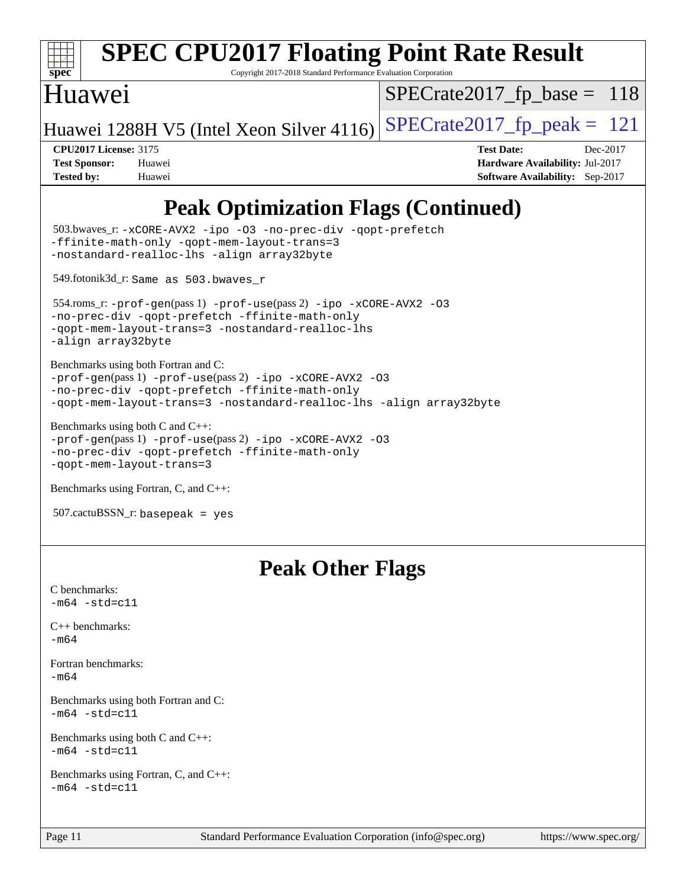

# **[SPEC CPU2017 Floating Point Rate Result](http://www.spec.org/auto/cpu2017/Docs/result-fields.html#SPECCPU2017FloatingPointRateResult)**

Copyright 2017-2018 Standard Performance Evaluation Corporation

## Huawei

 $SPECrate2017_fp\_base = 118$ 

Huawei 1288H V5 (Intel Xeon Silver 4116) SPECrate  $2017$  fp peak = 121

**[CPU2017 License:](http://www.spec.org/auto/cpu2017/Docs/result-fields.html#CPU2017License)** 3175 **[Test Date:](http://www.spec.org/auto/cpu2017/Docs/result-fields.html#TestDate)** Dec-2017 **[Test Sponsor:](http://www.spec.org/auto/cpu2017/Docs/result-fields.html#TestSponsor)** Huawei **[Hardware Availability:](http://www.spec.org/auto/cpu2017/Docs/result-fields.html#HardwareAvailability)** Jul-2017 **[Tested by:](http://www.spec.org/auto/cpu2017/Docs/result-fields.html#Testedby)** Huawei **[Software Availability:](http://www.spec.org/auto/cpu2017/Docs/result-fields.html#SoftwareAvailability)** Sep-2017

## **[Peak Optimization Flags \(Continued\)](http://www.spec.org/auto/cpu2017/Docs/result-fields.html#PeakOptimizationFlags)**

```
 503.bwaves_r: -xCORE-AVX2 -ipo -O3 -no-prec-div -qopt-prefetch
-ffinite-math-only -qopt-mem-layout-trans=3
-nostandard-realloc-lhs -align array32byte
 549.fotonik3d_r: Same as 503.bwaves_r
 554.roms_r: -prof-gen(pass 1) -prof-use(pass 2) -ipo -xCORE-AVX2 -O3
-no-prec-div -qopt-prefetch -ffinite-math-only
-qopt-mem-layout-trans=3 -nostandard-realloc-lhs
-align array32byte
Benchmarks using both Fortran and C: 
-prof-gen(pass 1) -prof-use(pass 2) -ipo -xCORE-AVX2 -O3
-no-prec-div -qopt-prefetch -ffinite-math-only
-qopt-mem-layout-trans=3 -nostandard-realloc-lhs -align array32byte
Benchmarks using both C and C++: 
-prof-gen(pass 1) -prof-use(pass 2) -ipo -xCORE-AVX2 -O3
-no-prec-div -qopt-prefetch -ffinite-math-only
-qopt-mem-layout-trans=3
Benchmarks using Fortran, C, and C++: 
507.cactuBSSN_r: basepeak = yes
```
## **[Peak Other Flags](http://www.spec.org/auto/cpu2017/Docs/result-fields.html#PeakOtherFlags)**

```
C benchmarks: 
-m64 - std= c11C++ benchmarks: 
-m64
Fortran benchmarks: 
-m64
Benchmarks using both Fortran and C: 
-m64 - std= c11Benchmarks using both C and C++: 
-m64 - std= c11Benchmarks using Fortran, C, and C++: 
-m64 - std= c11
```